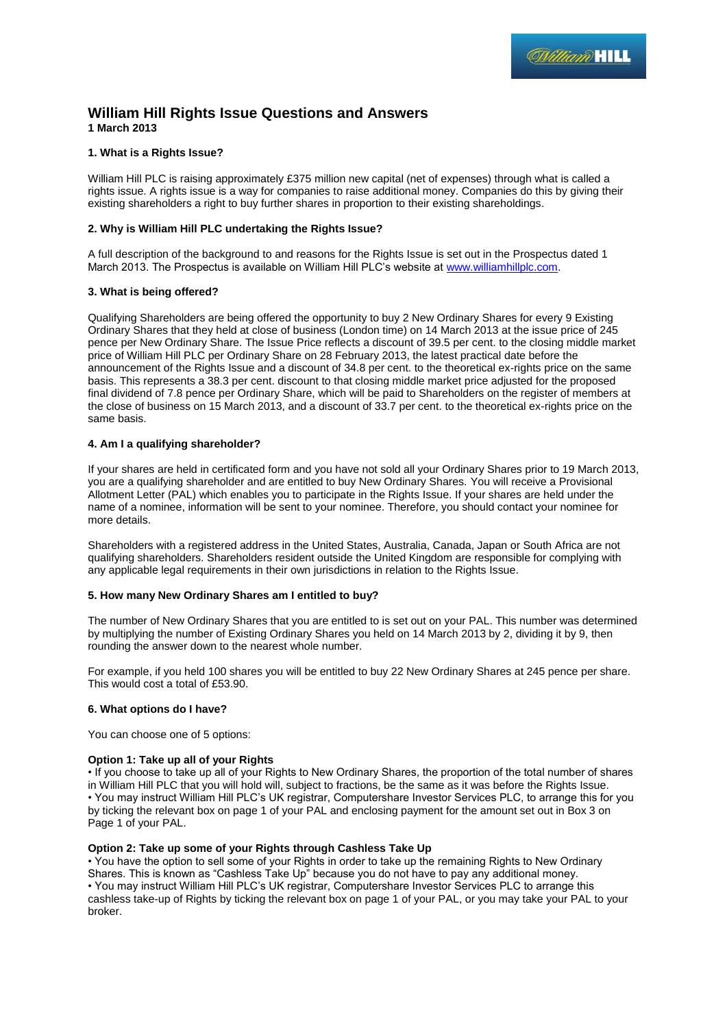# **William Hill Rights Issue Questions and Answers 1 March 2013**

# **1. What is a Rights Issue?**

William Hill PLC is raising approximately £375 million new capital (net of expenses) through what is called a rights issue. A rights issue is a way for companies to raise additional money. Companies do this by giving their existing shareholders a right to buy further shares in proportion to their existing shareholdings.

# **2. Why is William Hill PLC undertaking the Rights Issue?**

A full description of the background to and reasons for the Rights Issue is set out in the Prospectus dated 1 March 2013. The Prospectus is available on William Hill PLC's website a[t www.williamhillplc.com.](http://www.williamhillplc.com/)

## **3. What is being offered?**

Qualifying Shareholders are being offered the opportunity to buy 2 New Ordinary Shares for every 9 Existing Ordinary Shares that they held at close of business (London time) on 14 March 2013 at the issue price of 245 pence per New Ordinary Share. The Issue Price reflects a discount of 39.5 per cent. to the closing middle market price of William Hill PLC per Ordinary Share on 28 February 2013, the latest practical date before the announcement of the Rights Issue and a discount of 34.8 per cent. to the theoretical ex-rights price on the same basis. This represents a 38.3 per cent. discount to that closing middle market price adjusted for the proposed final dividend of 7.8 pence per Ordinary Share, which will be paid to Shareholders on the register of members at the close of business on 15 March 2013, and a discount of 33.7 per cent. to the theoretical ex-rights price on the same basis.

# **4. Am I a qualifying shareholder?**

If your shares are held in certificated form and you have not sold all your Ordinary Shares prior to 19 March 2013, you are a qualifying shareholder and are entitled to buy New Ordinary Shares. You will receive a Provisional Allotment Letter (PAL) which enables you to participate in the Rights Issue. If your shares are held under the name of a nominee, information will be sent to your nominee. Therefore, you should contact your nominee for more details.

Shareholders with a registered address in the United States, Australia, Canada, Japan or South Africa are not qualifying shareholders. Shareholders resident outside the United Kingdom are responsible for complying with any applicable legal requirements in their own jurisdictions in relation to the Rights Issue.

## **5. How many New Ordinary Shares am I entitled to buy?**

The number of New Ordinary Shares that you are entitled to is set out on your PAL. This number was determined by multiplying the number of Existing Ordinary Shares you held on 14 March 2013 by 2, dividing it by 9, then rounding the answer down to the nearest whole number.

For example, if you held 100 shares you will be entitled to buy 22 New Ordinary Shares at 245 pence per share. This would cost a total of £53.90.

## **6. What options do I have?**

You can choose one of 5 options:

## **Option 1: Take up all of your Rights**

• If you choose to take up all of your Rights to New Ordinary Shares, the proportion of the total number of shares in William Hill PLC that you will hold will, subject to fractions, be the same as it was before the Rights Issue. • You may instruct William Hill PLC's UK registrar, Computershare Investor Services PLC, to arrange this for you by ticking the relevant box on page 1 of your PAL and enclosing payment for the amount set out in Box 3 on Page 1 of your PAL.

## **Option 2: Take up some of your Rights through Cashless Take Up**

• You have the option to sell some of your Rights in order to take up the remaining Rights to New Ordinary Shares. This is known as "Cashless Take Up" because you do not have to pay any additional money. • You may instruct William Hill PLC's UK registrar, Computershare Investor Services PLC to arrange this cashless take-up of Rights by ticking the relevant box on page 1 of your PAL, or you may take your PAL to your broker.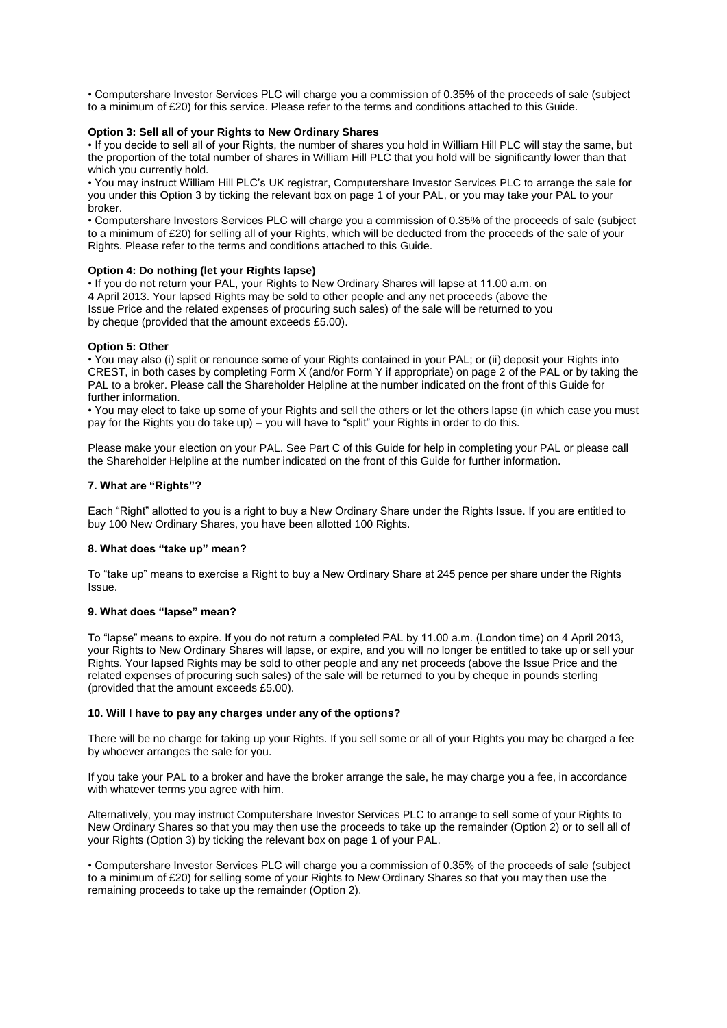• Computershare Investor Services PLC will charge you a commission of 0.35% of the proceeds of sale (subject to a minimum of £20) for this service. Please refer to the terms and conditions attached to this Guide.

# **Option 3: Sell all of your Rights to New Ordinary Shares**

• If you decide to sell all of your Rights, the number of shares you hold in William Hill PLC will stay the same, but the proportion of the total number of shares in William Hill PLC that you hold will be significantly lower than that which you currently hold.

• You may instruct William Hill PLC's UK registrar, Computershare Investor Services PLC to arrange the sale for you under this Option 3 by ticking the relevant box on page 1 of your PAL, or you may take your PAL to your broker.

• Computershare Investors Services PLC will charge you a commission of 0.35% of the proceeds of sale (subject to a minimum of £20) for selling all of your Rights, which will be deducted from the proceeds of the sale of your Rights. Please refer to the terms and conditions attached to this Guide.

## **Option 4: Do nothing (let your Rights lapse)**

• If you do not return your PAL, your Rights to New Ordinary Shares will lapse at 11.00 a.m. on 4 April 2013. Your lapsed Rights may be sold to other people and any net proceeds (above the Issue Price and the related expenses of procuring such sales) of the sale will be returned to you by cheque (provided that the amount exceeds £5.00).

# **Option 5: Other**

• You may also (i) split or renounce some of your Rights contained in your PAL; or (ii) deposit your Rights into CREST, in both cases by completing Form X (and/or Form Y if appropriate) on page 2 of the PAL or by taking the PAL to a broker. Please call the Shareholder Helpline at the number indicated on the front of this Guide for further information.

• You may elect to take up some of your Rights and sell the others or let the others lapse (in which case you must pay for the Rights you do take up) – you will have to "split" your Rights in order to do this.

Please make your election on your PAL. See Part C of this Guide for help in completing your PAL or please call the Shareholder Helpline at the number indicated on the front of this Guide for further information.

# **7. What are "Rights"?**

Each "Right" allotted to you is a right to buy a New Ordinary Share under the Rights Issue. If you are entitled to buy 100 New Ordinary Shares, you have been allotted 100 Rights.

## **8. What does "take up" mean?**

To "take up" means to exercise a Right to buy a New Ordinary Share at 245 pence per share under the Rights Issue.

## **9. What does "lapse" mean?**

To "lapse" means to expire. If you do not return a completed PAL by 11.00 a.m. (London time) on 4 April 2013, your Rights to New Ordinary Shares will lapse, or expire, and you will no longer be entitled to take up or sell your Rights. Your lapsed Rights may be sold to other people and any net proceeds (above the Issue Price and the related expenses of procuring such sales) of the sale will be returned to you by cheque in pounds sterling (provided that the amount exceeds £5.00).

# **10. Will I have to pay any charges under any of the options?**

There will be no charge for taking up your Rights. If you sell some or all of your Rights you may be charged a fee by whoever arranges the sale for you.

If you take your PAL to a broker and have the broker arrange the sale, he may charge you a fee, in accordance with whatever terms you agree with him.

Alternatively, you may instruct Computershare Investor Services PLC to arrange to sell some of your Rights to New Ordinary Shares so that you may then use the proceeds to take up the remainder (Option 2) or to sell all of your Rights (Option 3) by ticking the relevant box on page 1 of your PAL.

• Computershare Investor Services PLC will charge you a commission of 0.35% of the proceeds of sale (subject to a minimum of £20) for selling some of your Rights to New Ordinary Shares so that you may then use the remaining proceeds to take up the remainder (Option 2).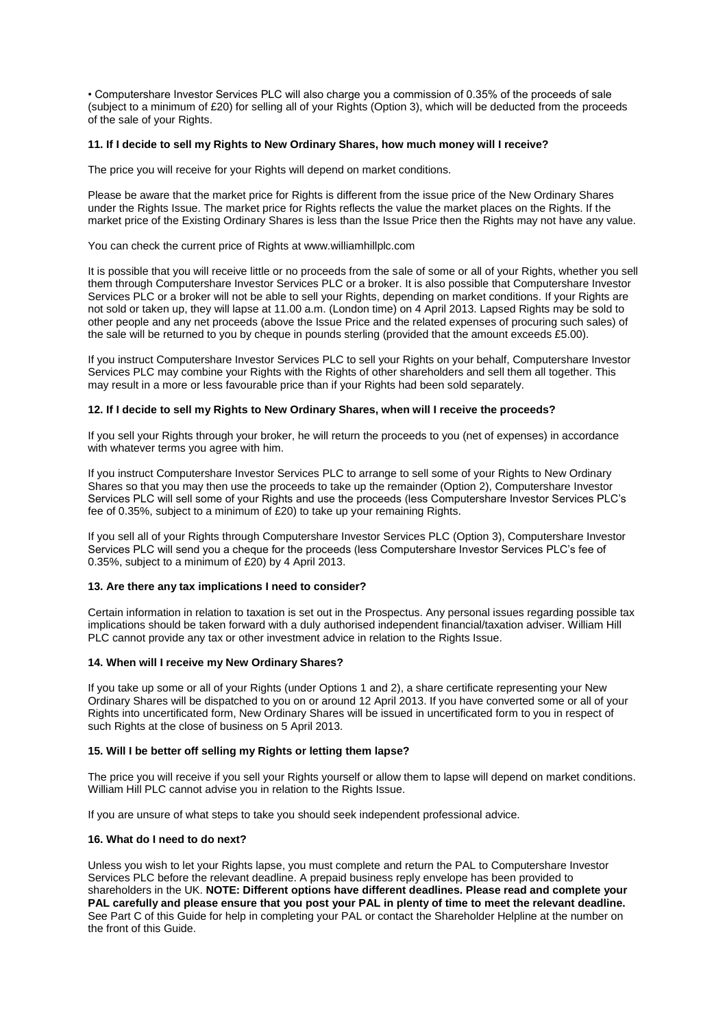• Computershare Investor Services PLC will also charge you a commission of 0.35% of the proceeds of sale (subject to a minimum of £20) for selling all of your Rights (Option 3), which will be deducted from the proceeds of the sale of your Rights.

## **11. If I decide to sell my Rights to New Ordinary Shares, how much money will I receive?**

The price you will receive for your Rights will depend on market conditions.

Please be aware that the market price for Rights is different from the issue price of the New Ordinary Shares under the Rights Issue. The market price for Rights reflects the value the market places on the Rights. If the market price of the Existing Ordinary Shares is less than the Issue Price then the Rights may not have any value.

You can check the current price of Rights at www.williamhillplc.com

It is possible that you will receive little or no proceeds from the sale of some or all of your Rights, whether you sell them through Computershare Investor Services PLC or a broker. It is also possible that Computershare Investor Services PLC or a broker will not be able to sell your Rights, depending on market conditions. If your Rights are not sold or taken up, they will lapse at 11.00 a.m. (London time) on 4 April 2013. Lapsed Rights may be sold to other people and any net proceeds (above the Issue Price and the related expenses of procuring such sales) of the sale will be returned to you by cheque in pounds sterling (provided that the amount exceeds £5.00).

If you instruct Computershare Investor Services PLC to sell your Rights on your behalf, Computershare Investor Services PLC may combine your Rights with the Rights of other shareholders and sell them all together. This may result in a more or less favourable price than if your Rights had been sold separately.

## **12. If I decide to sell my Rights to New Ordinary Shares, when will I receive the proceeds?**

If you sell your Rights through your broker, he will return the proceeds to you (net of expenses) in accordance with whatever terms you agree with him.

If you instruct Computershare Investor Services PLC to arrange to sell some of your Rights to New Ordinary Shares so that you may then use the proceeds to take up the remainder (Option 2), Computershare Investor Services PLC will sell some of your Rights and use the proceeds (less Computershare Investor Services PLC's fee of 0.35%, subject to a minimum of £20) to take up your remaining Rights.

If you sell all of your Rights through Computershare Investor Services PLC (Option 3), Computershare Investor Services PLC will send you a cheque for the proceeds (less Computershare Investor Services PLC's fee of 0.35%, subject to a minimum of £20) by 4 April 2013.

## **13. Are there any tax implications I need to consider?**

Certain information in relation to taxation is set out in the Prospectus. Any personal issues regarding possible tax implications should be taken forward with a duly authorised independent financial/taxation adviser. William Hill PLC cannot provide any tax or other investment advice in relation to the Rights Issue.

## **14. When will I receive my New Ordinary Shares?**

If you take up some or all of your Rights (under Options 1 and 2), a share certificate representing your New Ordinary Shares will be dispatched to you on or around 12 April 2013. If you have converted some or all of your Rights into uncertificated form, New Ordinary Shares will be issued in uncertificated form to you in respect of such Rights at the close of business on 5 April 2013.

## **15. Will I be better off selling my Rights or letting them lapse?**

The price you will receive if you sell your Rights yourself or allow them to lapse will depend on market conditions. William Hill PLC cannot advise you in relation to the Rights Issue.

If you are unsure of what steps to take you should seek independent professional advice.

## **16. What do I need to do next?**

Unless you wish to let your Rights lapse, you must complete and return the PAL to Computershare Investor Services PLC before the relevant deadline. A prepaid business reply envelope has been provided to shareholders in the UK. **NOTE: Different options have different deadlines. Please read and complete your PAL carefully and please ensure that you post your PAL in plenty of time to meet the relevant deadline.**  See Part C of this Guide for help in completing your PAL or contact the Shareholder Helpline at the number on the front of this Guide.